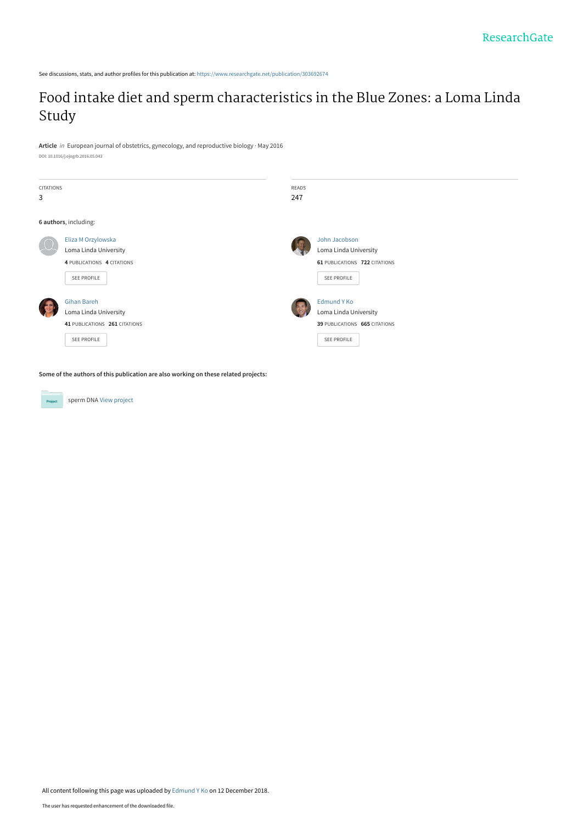See discussions, stats, and author profiles for this publication at: [https://www.researchgate.net/publication/303692674](https://www.researchgate.net/publication/303692674_Food_intake_diet_and_sperm_characteristics_in_the_Blue_Zones_a_Loma_Linda_Study?enrichId=rgreq-8aedc44341e534d124022539b0421d30-XXX&enrichSource=Y292ZXJQYWdlOzMwMzY5MjY3NDtBUzo3MDI4ODk5NDUyMTkwNzNAMTU0NDU5MzQzMDkyNw%3D%3D&el=1_x_2&_esc=publicationCoverPdf)

# [Food intake diet and sperm characteristics in the Blue Zones: a Loma Linda](https://www.researchgate.net/publication/303692674_Food_intake_diet_and_sperm_characteristics_in_the_Blue_Zones_a_Loma_Linda_Study?enrichId=rgreq-8aedc44341e534d124022539b0421d30-XXX&enrichSource=Y292ZXJQYWdlOzMwMzY5MjY3NDtBUzo3MDI4ODk5NDUyMTkwNzNAMTU0NDU5MzQzMDkyNw%3D%3D&el=1_x_3&_esc=publicationCoverPdf) Study

**Article** in European journal of obstetrics, gynecology, and reproductive biology · May 2016 DOI: 10.1016/j.ejogrb.2016.05.043

| <b>CITATIONS</b><br>3 |                                                                                          | READS<br>247 |                                                                                        |
|-----------------------|------------------------------------------------------------------------------------------|--------------|----------------------------------------------------------------------------------------|
|                       | 6 authors, including:                                                                    |              |                                                                                        |
|                       | Eliza M Orzylowska<br>Loma Linda University<br>4 PUBLICATIONS 4 CITATIONS<br>SEE PROFILE |              | John Jacobson<br>Loma Linda University<br>61 PUBLICATIONS 722 CITATIONS<br>SEE PROFILE |
|                       | Gihan Bareh<br>Loma Linda University<br>41 PUBLICATIONS 261 CITATIONS<br>SEE PROFILE     |              | Edmund Y Ko<br>Loma Linda University<br>39 PUBLICATIONS 665 CITATIONS<br>SEE PROFILE   |

**Some of the authors of this publication are also working on these related projects:**

**Project** 

sperm DNA [View project](https://www.researchgate.net/project/sperm-DNA?enrichId=rgreq-8aedc44341e534d124022539b0421d30-XXX&enrichSource=Y292ZXJQYWdlOzMwMzY5MjY3NDtBUzo3MDI4ODk5NDUyMTkwNzNAMTU0NDU5MzQzMDkyNw%3D%3D&el=1_x_9&_esc=publicationCoverPdf)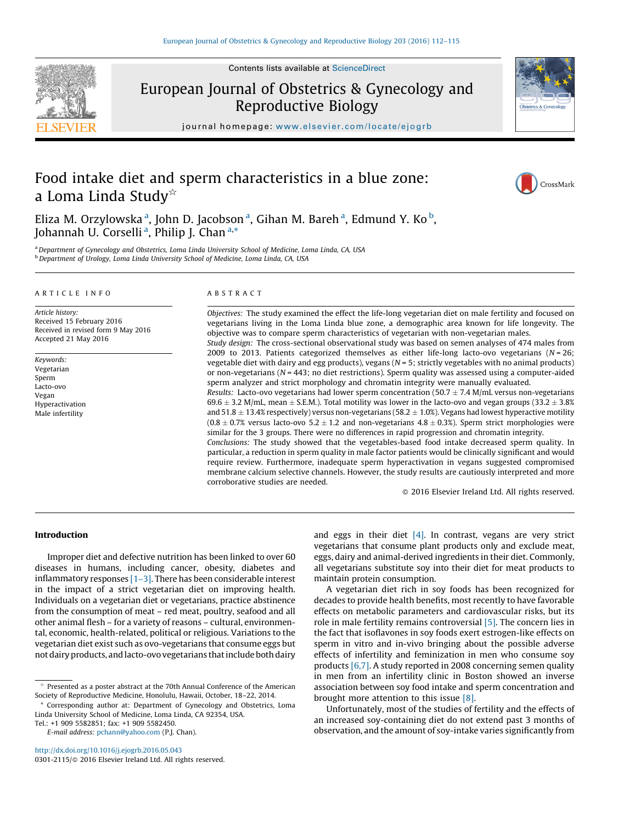Contents lists available at [ScienceDirect](http://www.sciencedirect.com/science/journal/03012115)



European Journal of Obstetrics & Gynecology and Reproductive Biology



journal homepage: <www.elsevier.com/locate/ejogrb>

## Food intake diet and sperm characteristics in a blue zone: a Loma Linda Study $\dot{\alpha}$

CrossMark

Eliza M. Orzylowska <sup>a</sup>, John D. Jacobson <sup>a</sup>, Gihan M. Bareh <sup>a</sup>, Edmund Y. Ko <sup>b</sup>, Johannah U. Corselli<sup>a</sup>, Philip J. Chan<sup>a,\*</sup>

a Department of Gynecology and Obstetrics, Loma Linda University School of Medicine, Loma Linda, CA, USA b Department of Urology, Loma Linda University School of Medicine, Loma Linda, CA, USA

#### A R T I C L E I N F O

Article history: Received 15 February 2016 Received in revised form 9 May 2016 Accepted 21 May 2016

Keywords: Vegetarian Sperm Lacto-ovo Vegan Hyperactivation Male infertility

#### A B S T R A C T

Objectives: The study examined the effect the life-long vegetarian diet on male fertility and focused on vegetarians living in the Loma Linda blue zone, a demographic area known for life longevity. The objective was to compare sperm characteristics of vegetarian with non-vegetarian males. Study design: The cross-sectional observational study was based on semen analyses of 474 males from 2009 to 2013. Patients categorized themselves as either life-long lacto-ovo vegetarians ( $N = 26$ ; vegetable diet with dairy and egg products), vegans  $(N = 5$ ; strictly vegetables with no animal products) or non-vegetarians (N = 443; no diet restrictions). Sperm quality was assessed using a computer-aided sperm analyzer and strict morphology and chromatin integrity were manually evaluated. Results: Lacto-ovo vegetarians had lower sperm concentration (50.7  $\pm$  7.4 M/mL versus non-vegetarians 69.6  $\pm$  3.2 M/mL, mean  $\pm$  S.E.M.). Total motility was lower in the lacto-ovo and vegan groups (33.2  $\pm$  3.8% and 51.8  $\pm$  13.4% respectively) versus non-vegetarians (58.2  $\pm$  1.0%). Vegans had lowest hyperactive motility  $(0.8\pm 0.7\%$  versus lacto-ovo 5.2  $\pm$  1.2 and non-vegetarians 4.8  $\pm$  0.3%). Sperm strict morphologies were similar for the 3 groups. There were no differences in rapid progression and chromatin integrity. Conclusions: The study showed that the vegetables-based food intake decreased sperm quality. In particular, a reduction in sperm quality in male factor patients would be clinically significant and would require review. Furthermore, inadequate sperm hyperactivation in vegans suggested compromised membrane calcium selective channels. However, the study results are cautiously interpreted and more corroborative studies are needed.

 $\odot$  2016 Elsevier Ireland Ltd. All rights reserved.

## Introduction

Improper diet and defective nutrition has been linked to over 60 diseases in humans, including cancer, obesity, diabetes and inflammatory responses  $[1-3]$ . There has been considerable interest in the impact of a strict vegetarian diet on improving health. Individuals on a vegetarian diet or vegetarians, practice abstinence from the consumption of meat – red meat, poultry, seafood and all other animal flesh – for a variety of reasons – cultural, environmental, economic, health-related, political or religious. Variations to the vegetarian diet exist such as ovo-vegetarians that consume eggs but not dairy products, and lacto-ovo vegetarians that include both dairy

\* Corresponding author at: Department of Gynecology and Obstetrics, Loma Linda University School of Medicine, Loma Linda, CA 92354, USA. Tel.: +1 909 5582851; fax: +1 909 5582450.

<http://dx.doi.org/10.1016/j.ejogrb.2016.05.043> 0301-2115/© 2016 Elsevier Ireland Ltd. All rights reserved. and eggs in their diet  $[4]$ . In contrast, vegans are very strict vegetarians that consume plant products only and exclude meat, eggs, dairy and animal-derived ingredients in their diet. Commonly, all vegetarians substitute soy into their diet for meat products to maintain protein consumption.

A vegetarian diet rich in soy foods has been recognized for decades to provide health benefits, most recently to have favorable effects on metabolic parameters and cardiovascular risks, but its role in male fertility remains controversial [\[5\].](#page-4-0) The concern lies in the fact that isoflavones in soy foods exert estrogen-like effects on sperm in vitro and in-vivo bringing about the possible adverse effects of infertility and feminization in men who consume soy products [\[6,7\].](#page-4-0) A study reported in 2008 concerning semen quality in men from an infertility clinic in Boston showed an inverse association between soy food intake and sperm concentration and brought more attention to this issue [\[8\].](#page-4-0)

Unfortunately, most of the studies of fertility and the effects of an increased soy-containing diet do not extend past 3 months of observation, and the amount of soy-intake varies significantly from

 $\stackrel{\star}{\sim}$  Presented as a poster abstract at the 70th Annual Conference of the American Society of Reproductive Medicine, Honolulu, Hawaii, October, 18–22, 2014.

E-mail address: [pchann@yahoo.com](mailto:pchann@yahoo.com) (P.J. Chan).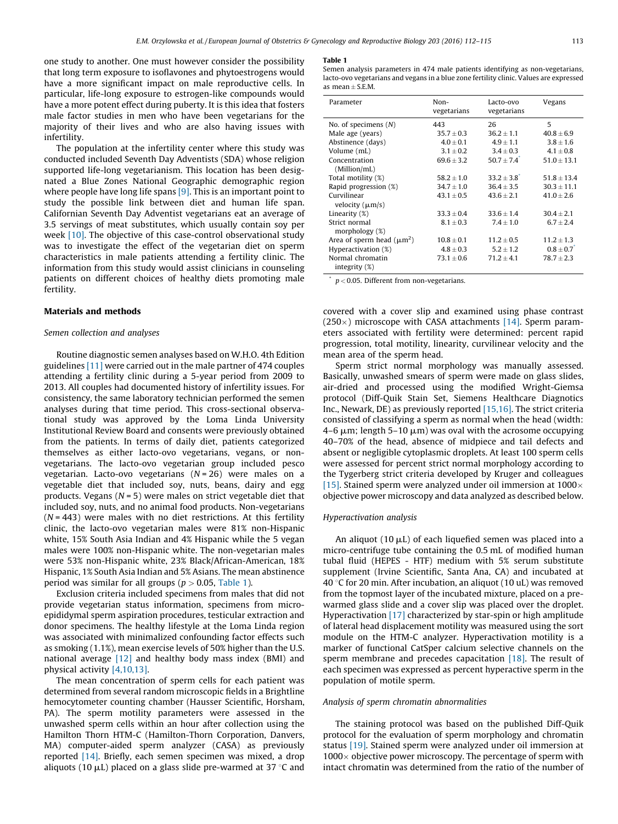<span id="page-2-0"></span>one study to another. One must however consider the possibility that long term exposure to isoflavones and phytoestrogens would have a more significant impact on male reproductive cells. In particular, life-long exposure to estrogen-like compounds would have a more potent effect during puberty. It is this idea that fosters male factor studies in men who have been vegetarians for the majority of their lives and who are also having issues with infertility.

The population at the infertility center where this study was conducted included Seventh Day Adventists (SDA) whose religion supported life-long vegetarianism. This location has been designated a Blue Zones National Geographic demographic region where people have long life spans [\[9\].](#page-4-0) This is an important point to study the possible link between diet and human life span. Californian Seventh Day Adventist vegetarians eat an average of 3.5 servings of meat substitutes, which usually contain soy per week [\[10\]](#page-4-0). The objective of this case-control observational study was to investigate the effect of the vegetarian diet on sperm characteristics in male patients attending a fertility clinic. The information from this study would assist clinicians in counseling patients on different choices of healthy diets promoting male fertility.

## Materials and methods

## Semen collection and analyses

Routine diagnostic semen analyses based on W.H.O. 4th Edition guidelines [\[11\]](#page-4-0) were carried out in the male partner of 474 couples attending a fertility clinic during a 5-year period from 2009 to 2013. All couples had documented history of infertility issues. For consistency, the same laboratory technician performed the semen analyses during that time period. This cross-sectional observational study was approved by the Loma Linda University Institutional Review Board and consents were previously obtained from the patients. In terms of daily diet, patients categorized themselves as either lacto-ovo vegetarians, vegans, or nonvegetarians. The lacto-ovo vegetarian group included pesco vegetarian. Lacto-ovo vegetarians  $(N = 26)$  were males on a vegetable diet that included soy, nuts, beans, dairy and egg products. Vegans ( $N = 5$ ) were males on strict vegetable diet that included soy, nuts, and no animal food products. Non-vegetarians  $(N = 443)$  were males with no diet restrictions. At this fertility clinic, the lacto-ovo vegetarian males were 81% non-Hispanic white, 15% South Asia Indian and 4% Hispanic while the 5 vegan males were 100% non-Hispanic white. The non-vegetarian males were 53% non-Hispanic white, 23% Black/African-American, 18% Hispanic, 1% South Asia Indian and 5% Asians. The mean abstinence period was similar for all groups ( $p > 0.05$ , Table 1).

Exclusion criteria included specimens from males that did not provide vegetarian status information, specimens from microepididymal sperm aspiration procedures, testicular extraction and donor specimens. The healthy lifestyle at the Loma Linda region was associated with minimalized confounding factor effects such as smoking (1.1%), mean exercise levels of 50% higher than the U.S. national average [\[12\]](#page-4-0) and healthy body mass index (BMI) and physical activity [\[4,10,13\].](#page-4-0)

The mean concentration of sperm cells for each patient was determined from several random microscopic fields in a Brightline hemocytometer counting chamber (Hausser Scientific, Horsham, PA). The sperm motility parameters were assessed in the unwashed sperm cells within an hour after collection using the Hamilton Thorn HTM-C (Hamilton-Thorn Corporation, Danvers, MA) computer-aided sperm analyzer (CASA) as previously reported [\[14\].](#page-4-0) Briefly, each semen specimen was mixed, a drop aliquots (10  $\mu$ L) placed on a glass slide pre-warmed at 37 °C and

#### Table 1

Semen analysis parameters in 474 male patients identifying as non-vegetarians, lacto-ovo vegetarians and vegans in a blue zone fertility clinic. Values are expressed as mean  $\pm$  S.E.M.

| Parameter                      | Non-<br>vegetarians | Lacto-ovo<br>vegetarians | Vegans            |
|--------------------------------|---------------------|--------------------------|-------------------|
| No. of specimens $(N)$         | 443                 | 26                       | 5                 |
| Male age (years)               | $35.7 + 0.3$        | $36.2 \pm 1.1$           | $40.8 \pm 6.9$    |
| Abstinence (days)              | $4.0 \pm 0.1$       | $4.9 \pm 1.1$            | $3.8 \pm 1.6$     |
| Volume (mL)                    | $3.1 + 0.2$         | $3.4 + 0.3$              | $4.1 \pm 0.8$     |
| Concentration                  | $69.6 + 3.2$        | $50.7 + 7.4$             | $51.0 \pm 13.1$   |
| (Million/mL)                   |                     |                          |                   |
| Total motility (%)             | $58.2 + 1.0$        | $33.2 + 3.8$             | $51.8 + 13.4$     |
| Rapid progression (%)          | $34.7 \pm 1.0$      | $36.4 \pm 3.5$           | $30.3 \pm 11.1$   |
| Curvilinear                    | $43.1 \pm 0.5$      | $43.6 \pm 2.1$           | $41.0 \pm 2.6$    |
| velocity $(\mu m/s)$           |                     |                          |                   |
| Linearity (%)                  | $33.3 + 0.4$        | $33.6 + 1.4$             | $30.4 + 2.1$      |
| Strict normal                  | $8.1 \pm 0.3$       | $7.4 + 1.0$              | $6.7 \pm 2.4$     |
| morphology $(\%)$              |                     |                          |                   |
| Area of sperm head $(\mu m^2)$ | $10.8 + 0.1$        | $11.2 + 0.5$             | $11.2 \pm 1.3$    |
| Hyperactivation (%)            | $4.8 \pm 0.3$       | $5.2 \pm 1.2$            | $0.8 \pm 0.7^{*}$ |
| Normal chromatin               | $73.1 \pm 0.6$      | $71.2 \pm 4.1$           | $78.7 \pm 2.3$    |
| integrity $(\%)$               |                     |                          |                   |

 $p < 0.05$ . Different from non-vegetarians.

covered with a cover slip and examined using phase contrast  $(250\times)$  microscope with CASA attachments [\[14\].](#page-4-0) Sperm parameters associated with fertility were determined: percent rapid progression, total motility, linearity, curvilinear velocity and the mean area of the sperm head.

Sperm strict normal morphology was manually assessed. Basically, unwashed smears of sperm were made on glass slides, air-dried and processed using the modified Wright-Giemsa protocol (Diff-Quik Stain Set, Siemens Healthcare Diagnotics Inc., Newark, DE) as previously reported [\[15,16\]](#page-4-0). The strict criteria consisted of classifying a sperm as normal when the head (width:  $4-6 \mu m$ ; length  $5-10 \mu m$ ) was oval with the acrosome occupying 40–70% of the head, absence of midpiece and tail defects and absent or negligible cytoplasmic droplets. At least 100 sperm cells were assessed for percent strict normal morphology according to the Tygerberg strict criteria developed by Kruger and colleagues [\[15\]](#page-4-0). Stained sperm were analyzed under oil immersion at  $1000 \times$ objective power microscopy and data analyzed as described below.

## Hyperactivation analysis

An aliquot (10  $\mu$ L) of each liquefied semen was placed into a micro-centrifuge tube containing the 0.5 mL of modified human tubal fluid (HEPES - HTF) medium with 5% serum substitute supplement (Irvine Scientific, Santa Ana, CA) and incubated at 40 °C for 20 min. After incubation, an aliquot (10 uL) was removed from the topmost layer of the incubated mixture, placed on a prewarmed glass slide and a cover slip was placed over the droplet. Hyperactivation [\[17\]](#page-4-0) characterized by star-spin or high amplitude of lateral head displacement motility was measured using the sort module on the HTM-C analyzer. Hyperactivation motility is a marker of functional CatSper calcium selective channels on the sperm membrane and precedes capacitation [\[18\].](#page-4-0) The result of each specimen was expressed as percent hyperactive sperm in the population of motile sperm.

#### Analysis of sperm chromatin abnormalities

The staining protocol was based on the published Diff-Quik protocol for the evaluation of sperm morphology and chromatin status [\[19\].](#page-4-0) Stained sperm were analyzed under oil immersion at  $1000 \times$  objective power microscopy. The percentage of sperm with intact chromatin was determined from the ratio of the number of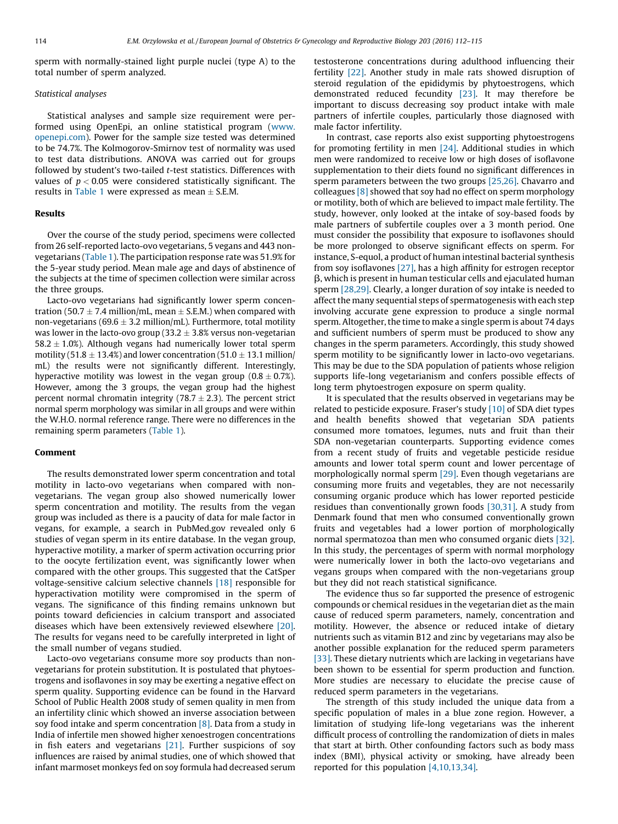sperm with normally-stained light purple nuclei (type A) to the total number of sperm analyzed.

## Statistical analyses

Statistical analyses and sample size requirement were performed using OpenEpi, an online statistical program ([www.](http://www.openepi.com/) [openepi.com\)](http://www.openepi.com/). Power for the sample size tested was determined to be 74.7%. The Kolmogorov-Smirnov test of normality was used to test data distributions. ANOVA was carried out for groups followed by student's two-tailed t-test statistics. Differences with values of  $p < 0.05$  were considered statistically significant. The results in [Table](#page-2-0) 1 were expressed as mean  $\pm$  S.E.M.

#### Results

Over the course of the study period, specimens were collected from 26 self-reported lacto-ovo vegetarians, 5 vegans and 443 nonvegetarians [\(Table](#page-2-0) 1). The participation response rate was 51.9% for the 5-year study period. Mean male age and days of abstinence of the subjects at the time of specimen collection were similar across the three groups.

Lacto-ovo vegetarians had significantly lower sperm concentration (50.7  $\pm$  7.4 million/mL, mean  $\pm$  S.E.M.) when compared with non-vegetarians (69.6  $\pm$  3.2 million/mL). Furthermore, total motility was lower in the lacto-ovo group (33.2  $\pm$  3.8% versus non-vegetarian 58.2  $\pm$  1.0%). Although vegans had numerically lower total sperm motility (51.8  $\pm$  13.4%) and lower concentration (51.0  $\pm$  13.1 million/ mL) the results were not significantly different. Interestingly, hyperactive motility was lowest in the vegan group (0.8  $\pm$  0.7%). However, among the 3 groups, the vegan group had the highest percent normal chromatin integrity (78.7  $\pm$  2.3). The percent strict normal sperm morphology was similar in all groups and were within the W.H.O. normal reference range. There were no differences in the remaining sperm parameters ([Table](#page-2-0) 1).

#### Comment

The results demonstrated lower sperm concentration and total motility in lacto-ovo vegetarians when compared with nonvegetarians. The vegan group also showed numerically lower sperm concentration and motility. The results from the vegan group was included as there is a paucity of data for male factor in vegans, for example, a search in PubMed.gov revealed only 6 studies of vegan sperm in its entire database. In the vegan group, hyperactive motility, a marker of sperm activation occurring prior to the oocyte fertilization event, was significantly lower when compared with the other groups. This suggested that the CatSper voltage-sensitive calcium selective channels [\[18\]](#page-4-0) responsible for hyperactivation motility were compromised in the sperm of vegans. The significance of this finding remains unknown but points toward deficiencies in calcium transport and associated diseases which have been extensively reviewed elsewhere [\[20\].](#page-4-0) The results for vegans need to be carefully interpreted in light of the small number of vegans studied.

Lacto-ovo vegetarians consume more soy products than nonvegetarians for protein substitution. It is postulated that phytoestrogens and isoflavones in soy may be exerting a negative effect on sperm quality. Supporting evidence can be found in the Harvard School of Public Health 2008 study of semen quality in men from an infertility clinic which showed an inverse association between soy food intake and sperm concentration  $[8]$ . Data from a study in India of infertile men showed higher xenoestrogen concentrations in fish eaters and vegetarians [\[21\].](#page-4-0) Further suspicions of soy influences are raised by animal studies, one of which showed that infant marmoset monkeys fed on soy formula had decreased serum testosterone concentrations during adulthood influencing their fertility [\[22\].](#page-4-0) Another study in male rats showed disruption of steroid regulation of the epididymis by phytoestrogens, which demonstrated reduced fecundity [\[23\].](#page-4-0) It may therefore be important to discuss decreasing soy product intake with male partners of infertile couples, particularly those diagnosed with male factor infertility.

In contrast, case reports also exist supporting phytoestrogens for promoting fertility in men [\[24\].](#page-4-0) Additional studies in which men were randomized to receive low or high doses of isoflavone supplementation to their diets found no significant differences in sperm parameters between the two groups [\[25,26\]](#page-4-0). Chavarro and colleagues [\[8\]](#page-4-0) showed that soy had no effect on sperm morphology or motility, both of which are believed to impact male fertility. The study, however, only looked at the intake of soy-based foods by male partners of subfertile couples over a 3 month period. One must consider the possibility that exposure to isoflavones should be more prolonged to observe significant effects on sperm. For instance, S-equol, a product of human intestinal bacterial synthesis from soy isoflavones [\[27\],](#page-4-0) has a high affinity for estrogen receptor  $\beta$ , which is present in human testicular cells and ejaculated human sperm [\[28,29\].](#page-4-0) Clearly, a longer duration of soy intake is needed to affect the many sequential steps of spermatogenesis with each step involving accurate gene expression to produce a single normal sperm. Altogether, the time to make a single sperm is about 74 days and sufficient numbers of sperm must be produced to show any changes in the sperm parameters. Accordingly, this study showed sperm motility to be significantly lower in lacto-ovo vegetarians. This may be due to the SDA population of patients whose religion supports life-long vegetarianism and confers possible effects of long term phytoestrogen exposure on sperm quality.

It is speculated that the results observed in vegetarians may be related to pesticide exposure. Fraser's study [\[10\]](#page-4-0) of SDA diet types and health benefits showed that vegetarian SDA patients consumed more tomatoes, legumes, nuts and fruit than their SDA non-vegetarian counterparts. Supporting evidence comes from a recent study of fruits and vegetable pesticide residue amounts and lower total sperm count and lower percentage of morphologically normal sperm [\[29\].](#page-4-0) Even though vegetarians are consuming more fruits and vegetables, they are not necessarily consuming organic produce which has lower reported pesticide residues than conventionally grown foods [\[30,31\].](#page-4-0) A study from Denmark found that men who consumed conventionally grown fruits and vegetables had a lower portion of morphologically normal spermatozoa than men who consumed organic diets [\[32\].](#page-4-0) In this study, the percentages of sperm with normal morphology were numerically lower in both the lacto-ovo vegetarians and vegans groups when compared with the non-vegetarians group but they did not reach statistical significance.

The evidence thus so far supported the presence of estrogenic compounds or chemical residues in the vegetarian diet as the main cause of reduced sperm parameters, namely, concentration and motility. However, the absence or reduced intake of dietary nutrients such as vitamin B12 and zinc by vegetarians may also be another possible explanation for the reduced sperm parameters [\[33\]](#page-4-0). These dietary nutrients which are lacking in vegetarians have been shown to be essential for sperm production and function. More studies are necessary to elucidate the precise cause of reduced sperm parameters in the vegetarians.

The strength of this study included the unique data from a specific population of males in a blue zone region. However, a limitation of studying life-long vegetarians was the inherent difficult process of controlling the randomization of diets in males that start at birth. Other confounding factors such as body mass index (BMI), physical activity or smoking, have already been reported for this population [\[4,10,13,34\].](#page-4-0)